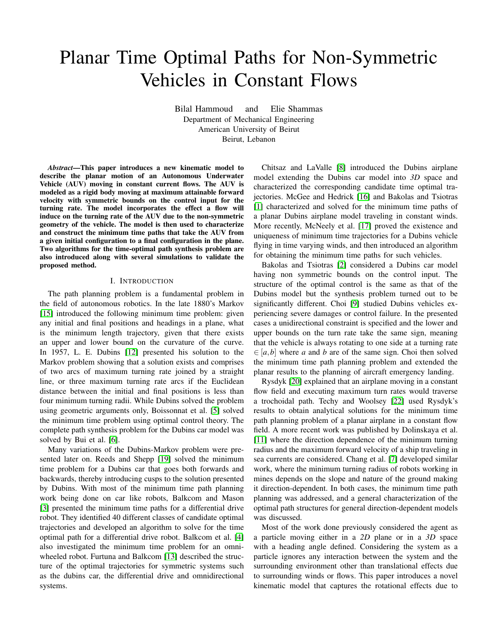# Planar Time Optimal Paths for Non-Symmetric Vehicles in Constant Flows

Bilal Hammoud and Elie Shammas Department of Mechanical Engineering American University of Beirut Beirut, Lebanon

*Abstract*—This paper introduces a new kinematic model to describe the planar motion of an Autonomous Underwater Vehicle (AUV) moving in constant current flows. The AUV is modeled as a rigid body moving at maximum attainable forward velocity with symmetric bounds on the control input for the turning rate. The model incorporates the effect a flow will induce on the turning rate of the AUV due to the non-symmetric geometry of the vehicle. The model is then used to characterize and construct the minimum time paths that take the AUV from a given initial configuration to a final configuration in the plane. Two algorithms for the time-optimal path synthesis problem are also introduced along with several simulations to validate the proposed method.

## I. INTRODUCTION

The path planning problem is a fundamental problem in the field of autonomous robotics. In the late 1880's Markov [\[15\]](#page-8-0) introduced the following minimum time problem: given any initial and final positions and headings in a plane, what is the minimum length trajectory, given that there exists an upper and lower bound on the curvature of the curve. In 1957, L. E. Dubins [\[12\]](#page-8-1) presented his solution to the Markov problem showing that a solution exists and comprises of two arcs of maximum turning rate joined by a straight line, or three maximum turning rate arcs if the Euclidean distance between the initial and final positions is less than four minimum turning radii. While Dubins solved the problem using geometric arguments only, Boissonnat et al. [\[5\]](#page-8-2) solved the minimum time problem using optimal control theory. The complete path synthesis problem for the Dubins car model was solved by Bui et al. [\[6\]](#page-8-3).

Many variations of the Dubins-Markov problem were presented later on. Reeds and Shepp [\[19\]](#page-8-4) solved the minimum time problem for a Dubins car that goes both forwards and backwards, thereby introducing cusps to the solution presented by Dubins. With most of the minimum time path planning work being done on car like robots, Balkcom and Mason [\[3\]](#page-8-5) presented the minimum time paths for a differential drive robot. They identified 40 different classes of candidate optimal trajectories and developed an algorithm to solve for the time optimal path for a differential drive robot. Balkcom et al. [\[4\]](#page-8-6) also investigated the minimum time problem for an omniwheeled robot. Furtuna and Balkcom [\[13\]](#page-8-7) described the structure of the optimal trajectories for symmetric systems such as the dubins car, the differential drive and omnidirectional systems.

Chitsaz and LaValle [\[8\]](#page-8-8) introduced the Dubins airplane model extending the Dubins car model into *3D* space and characterized the corresponding candidate time optimal trajectories. McGee and Hedrick [\[16\]](#page-8-9) and Bakolas and Tsiotras [\[1\]](#page-8-10) characterized and solved for the minimum time paths of a planar Dubins airplane model traveling in constant winds. More recently, McNeely et al. [\[17\]](#page-8-11) proved the existence and uniqueness of minimum time trajectories for a Dubins vehicle flying in time varying winds, and then introduced an algorithm for obtaining the minimum time paths for such vehicles.

Bakolas and Tsiotras [\[2\]](#page-8-12) considered a Dubins car model having non symmetric bounds on the control input. The structure of the optimal control is the same as that of the Dubins model but the synthesis problem turned out to be significantly different. Choi [\[9\]](#page-8-13) studied Dubins vehicles experiencing severe damages or control failure. In the presented cases a unidirectional constraint is specified and the lower and upper bounds on the turn rate take the same sign, meaning that the vehicle is always rotating to one side at a turning rate  $\in$  [a, b] where a and b are of the same sign. Choi then solved the minimum time path planning problem and extended the planar results to the planning of aircraft emergency landing.

Rysdyk [\[20\]](#page-8-14) explained that an airplane moving in a constant flow field and executing maximum turn rates would traverse a trochoidal path. Techy and Woolsey [\[22\]](#page-8-15) used Rysdyk's results to obtain analytical solutions for the minimum time path planning problem of a planar airplane in a constant flow field. A more recent work was published by Dolinskaya et al. [\[11\]](#page-8-16) where the direction dependence of the minimum turning radius and the maximum forward velocity of a ship traveling in sea currents are considered. Chang et al. [\[7\]](#page-8-17) developed similar work, where the minimum turning radius of robots working in mines depends on the slope and nature of the ground making it direction-dependent. In both cases, the minimum time path planning was addressed, and a general characterization of the optimal path structures for general direction-dependent models was discussed.

Most of the work done previously considered the agent as a particle moving either in a *2D* plane or in a *3D* space with a heading angle defined. Considering the system as a particle ignores any interaction between the system and the surrounding environment other than translational effects due to surrounding winds or flows. This paper introduces a novel kinematic model that captures the rotational effects due to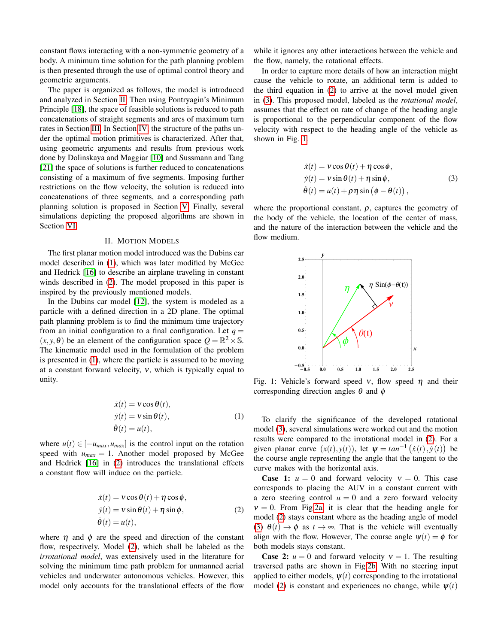constant flows interacting with a non-symmetric geometry of a body. A minimum time solution for the path planning problem is then presented through the use of optimal control theory and geometric arguments.

The paper is organized as follows, the model is introduced and analyzed in Section [II.](#page-1-0) Then using Pontryagin's Minimum Principle [\[18\]](#page-8-18), the space of feasible solutions is reduced to path concatenations of straight segments and arcs of maximum turn rates in Section [III.](#page-2-0) In Section [IV,](#page-3-0) the structure of the paths under the optimal motion primitives is characterized. After that, using geometric arguments and results from previous work done by Dolinskaya and Maggiar [\[10\]](#page-8-19) and Sussmann and Tang [\[21\]](#page-8-20) the space of solutions is further reduced to concatenations consisting of a maximum of five segments. Imposing further restrictions on the flow velocity, the solution is reduced into concatenations of three segments, and a corresponding path planning solution is proposed in Section [V.](#page-4-0) Finally, several simulations depicting the proposed algorithms are shown in Section [VI.](#page-6-0)

## II. MOTION MODELS

<span id="page-1-0"></span>The first planar motion model introduced was the Dubins car model described in [\(1\)](#page-1-1), which was later modified by McGee and Hedrick [\[16\]](#page-8-9) to describe an airplane traveling in constant winds described in [\(2\)](#page-1-2). The model proposed in this paper is inspired by the previously mentioned models.

In the Dubins car model [\[12\]](#page-8-1), the system is modeled as a particle with a defined direction in a 2D plane. The optimal path planning problem is to find the minimum time trajectory from an initial configuration to a final configuration. Let  $q =$  $(x, y, \theta)$  be an element of the configuration space  $Q = \mathbb{R}^2 \times \mathbb{S}$ . The kinematic model used in the formulation of the problem is presented in [\(1\)](#page-1-1), where the particle is assumed to be moving at a constant forward velocity,  $v$ , which is typically equal to unity.

$$
\begin{aligned}\n\dot{x}(t) &= \mathbf{v}\cos\theta(t), \\
\dot{y}(t) &= \mathbf{v}\sin\theta(t), \\
\dot{\theta}(t) &= u(t),\n\end{aligned} \tag{1}
$$

where  $u(t) \in [-u_{max}, u_{max}]$  is the control input on the rotation speed with  $u_{max} = 1$ . Another model proposed by McGee and Hedrick [\[16\]](#page-8-9) in [\(2\)](#page-1-2) introduces the translational effects a constant flow will induce on the particle.

$$
\dot{x}(t) = v \cos \theta(t) + \eta \cos \phi,
$$
  
\n
$$
\dot{y}(t) = v \sin \theta(t) + \eta \sin \phi,
$$
  
\n
$$
\dot{\theta}(t) = u(t),
$$
\n(2)

where  $\eta$  and  $\phi$  are the speed and direction of the constant flow, respectively. Model [\(2\)](#page-1-2), which shall be labeled as the *irrotational model*, was extensively used in the literature for solving the minimum time path problem for unmanned aerial vehicles and underwater autonomous vehicles. However, this model only accounts for the translational effects of the flow

while it ignores any other interactions between the vehicle and the flow, namely, the rotational effects.

In order to capture more details of how an interaction might cause the vehicle to rotate, an additional term is added to the third equation in [\(2\)](#page-1-2) to arrive at the novel model given in [\(3\)](#page-1-3). This proposed model, labeled as the *rotational model*, assumes that the effect on rate of change of the heading angle is proportional to the perpendicular component of the flow velocity with respect to the heading angle of the vehicle as shown in Fig. [1.](#page-1-4)

<span id="page-1-3"></span>
$$
\dot{x}(t) = v \cos \theta(t) + \eta \cos \phi,
$$
  
\n
$$
\dot{y}(t) = v \sin \theta(t) + \eta \sin \phi,
$$
  
\n
$$
\dot{\theta}(t) = u(t) + \rho \eta \sin (\phi - \theta(t)),
$$
\n(3)

where the proportional constant,  $\rho$ , captures the geometry of the body of the vehicle, the location of the center of mass, and the nature of the interaction between the vehicle and the flow medium.

<span id="page-1-4"></span>

Fig. 1: Vehicle's forward speed  $\nu$ , flow speed  $\eta$  and their corresponding direction angles  $\theta$  and  $\phi$ 

<span id="page-1-1"></span>To clarify the significance of the developed rotational model [\(3\)](#page-1-3), several simulations were worked out and the motion results were compared to the irrotational model in [\(2\)](#page-1-2). For a given planar curve  $(x(t), y(t))$ , let  $\psi = \tan^{-1}(x(t), y(t))$  be the course angle representing the angle that the tangent to the curve makes with the horizontal axis.

<span id="page-1-2"></span>**Case 1:**  $u = 0$  and forward velocity  $v = 0$ . This case corresponds to placing the AUV in a constant current with a zero steering control  $u = 0$  and a zero forward velocity  $v = 0$ . From Fig[.2a,](#page-2-1) it is clear that the heading angle for model [\(2\)](#page-1-2) stays constant where as the heading angle of model [\(3\)](#page-1-3)  $\theta(t) \rightarrow \phi$  as  $t \rightarrow \infty$ . That is the vehicle will eventually align with the flow. However, The course angle  $\psi(t) = \phi$  for both models stays constant.

**Case 2:**  $u = 0$  and forward velocity  $v = 1$ . The resulting traversed paths are shown in Fig[.2b.](#page-2-1) With no steering input applied to either models,  $\psi(t)$  corresponding to the irrotational model [\(2\)](#page-1-2) is constant and experiences no change, while  $\psi(t)$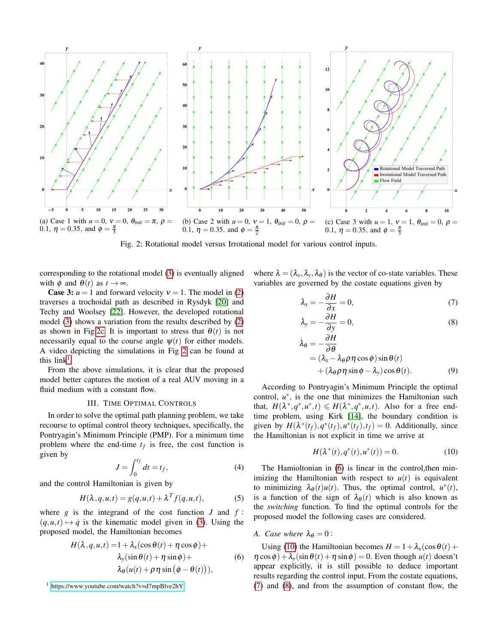<span id="page-2-1"></span>

Fig. 2: Rotational model versus Irrotational model for various control inputs.

corresponding to the rotational model [\(3\)](#page-1-3) is eventually aligned with  $\phi$  and  $\theta(t)$  as  $t \to \infty$ .

**Case 3:**  $u = 1$  and forward velocity  $v = 1$ . The model in [\(2\)](#page-1-2) traverses a trochoidal path as described in Rysdyk [\[20\]](#page-8-14) and Techy and Woolsey [\[22\]](#page-8-15). However, the developed rotational model [\(3\)](#page-1-3) shows a variation from the results described by [\(2\)](#page-1-2) as shown in Fig[.2c.](#page-2-1) It is important to stress that  $\theta(t)$  is not necessarily equal to the course angle  $\psi(t)$  for either models. A video depicting the simulations in Fig [2](#page-2-1) can be found at this  $link<sup>1</sup>$  $link<sup>1</sup>$  $link<sup>1</sup>$ .

From the above simulations, it is clear that the proposed model better captures the motion of a real AUV moving in a fluid medium with a constant flow.

# III. TIME OPTIMAL CONTROLS

<span id="page-2-0"></span>In order to solve the optimal path planning problem, we take recourse to optimal control theory techniques, specifically, the Pontryagin's Minimum Principle (PMP). For a minimum time problem where the end-time  $t_f$  is free, the cost function is given by

$$
J = \int_0^{t_f} dt = t_f,
$$
\n(4)

and the control Hamiltonian is given by

$$
H(\lambda, q, u, t) = g(q, u, t) + \lambda^T f(q, u, t),
$$
\n(5)

where  $g$  is the integrand of the cost function  $J$  and  $f$ :  $(q, u, t) \mapsto \dot{q}$  is the kinematic model given in [\(3\)](#page-1-3). Using the proposed model, the Hamiltonian becomes

$$
H(\lambda, q, u, t) = 1 + \lambda_x(\cos \theta(t) + \eta \cos \phi) +
$$
  
\n
$$
\lambda_y(\sin \theta(t) + \eta \sin \phi) +
$$
  
\n
$$
\lambda_\theta(u(t) + \rho \eta \sin (\phi - \theta(t))),
$$
\n(6)

where  $\lambda = (\lambda_x, \lambda_y, \lambda_\theta)$  is the vector of co-state variables. These variables are governed by the costate equations given by

<span id="page-2-5"></span>
$$
\dot{\lambda}_x = -\frac{\partial H}{\partial x} = 0,\tag{7}
$$

<span id="page-2-6"></span>
$$
\dot{\lambda}_y = -\frac{\partial H}{\partial y} = 0,\tag{8}
$$

$$
\begin{aligned} \n\lambda_{\theta} &= -\frac{\partial H}{\partial \theta} \\ \n&= (\lambda_x - \lambda_{\theta} \rho \eta \cos \phi) \sin \theta(t) \\ \n&+ (\lambda_{\theta} \rho \eta \sin \phi - \lambda_y) \cos \theta(t). \n\end{aligned} \tag{9}
$$

According to Pontryagin's Minimum Principle the optimal control,  $u^*$ , is the one that minimizes the Hamiltonian such that,  $H(\lambda^*, q^*, u^*, t) \leq H(\lambda^*, q^*, u, t)$ . Also for a free endtime problem, using Kirk [\[14\]](#page-8-21), the boundary condition is given by  $H(\lambda^*(t_f), q^*(t_f), u^*(t_f), t_f) = 0$ . Additionally, since the Hamiltonian is not explicit in time we arrive at

<span id="page-2-4"></span>
$$
H(\lambda^*(t), q^*(t), u^*(t)) = 0.
$$
 (10)

The Hamioltonian in [\(6\)](#page-2-3) is linear in the control,then minimizing the Hamiltonian with respect to  $u(t)$  is equivalent to minimizing  $\lambda_{\theta}(t)u(t)$ . Thus, the optimal control,  $u^*(t)$ , is a function of the sign of  $\lambda_{\theta}(t)$  which is also known as the *switching* function. To find the optimal controls for the proposed model the following cases are considered.

## <span id="page-2-3"></span>*A. Case where*  $\lambda_{\theta} = 0$ :

Using [\(10\)](#page-2-4) the Hamiltonian becomes  $H = 1 + \lambda_x(\cos\theta(t))$  $\eta \cos \phi$ ) +  $\lambda$ <sub>y</sub>(sin  $\theta$ (*t*) +  $\eta$  sin  $\phi$ ) = 0. Even though *u*(*t*) doesn't appear explicitly, it is still possible to deduce important results regarding the control input. From the costate equations, [\(7\)](#page-2-5) and [\(8\)](#page-2-6), and from the assumption of constant flow, the

<span id="page-2-2"></span><sup>1</sup> <https://www.youtube.com/watch?v=d7mpBlve2hY>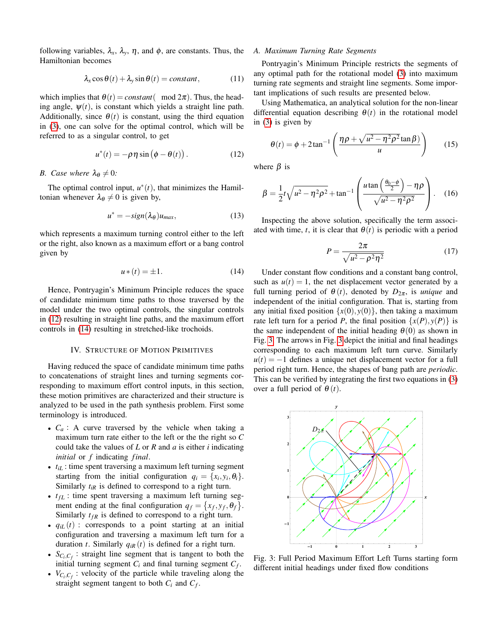following variables,  $\lambda_x$ ,  $\lambda_y$ ,  $\eta$ , and  $\phi$ , are constants. Thus, the Hamiltonian becomes

<span id="page-3-4"></span>
$$
\lambda_x \cos \theta(t) + \lambda_y \sin \theta(t) = constant, \qquad (11)
$$

which implies that  $\theta(t) = constant \, ($  mod  $2\pi$ ). Thus, the heading angle,  $\psi(t)$ , is constant which yields a straight line path. Additionally, since  $\theta(t)$  is constant, using the third equation in [\(3\)](#page-1-3), one can solve for the optimal control, which will be referred to as a singular control, to get

<span id="page-3-1"></span>
$$
u^*(t) = -\rho \eta \sin \left(\phi - \theta(t)\right). \tag{12}
$$

## *B.* Case where  $\lambda_{\theta} \neq 0$ :

The optimal control input,  $u^*(t)$ , that minimizes the Hamiltonian whenever  $\lambda_{\theta} \neq 0$  is given by,

$$
u^* = -sign(\lambda_{\theta})u_{max}, \qquad (13)
$$

which represents a maximum turning control either to the left or the right, also known as a maximum effort or a bang control given by

$$
u*(t) = \pm 1. \tag{14}
$$

Hence, Pontryagin's Minimum Principle reduces the space of candidate minimum time paths to those traversed by the model under the two optimal controls, the singular controls in [\(12\)](#page-3-1) resulting in straight line paths, and the maximum effort controls in [\(14\)](#page-3-2) resulting in stretched-like trochoids.

## IV. STRUCTURE OF MOTION PRIMITIVES

<span id="page-3-0"></span>Having reduced the space of candidate minimum time paths to concatenations of straight lines and turning segments corresponding to maximum effort control inputs, in this section, these motion primitives are characterized and their structure is analyzed to be used in the path synthesis problem. First some terminology is introduced.

- $C_a$ : A curve traversed by the vehicle when taking a maximum turn rate either to the left or the the right so *C* could take the values of *L* or *R* and *a* is either *i* indicating *initial* or *f* indicating *final*.
- $\bullet$   $t_{i}$ : time spent traversing a maximum left turning segment starting from the initial configuration  $q_i = \{x_i, y_i, \theta_i\}.$ Similarly  $t_{iR}$  is defined to correspond to a right turn.
- $t_{fL}$ : time spent traversing a maximum left turning segment ending at the final configuration  $q_f = \{x_f, y_f, \theta_f\}$ . Similarly  $t_{fR}$  is defined to correspond to a right turn.
- $q_{iL}(t)$ : corresponds to a point starting at an initial configuration and traversing a maximum left turn for a duration *t*. Similarly  $q_{iR}(t)$  is defined for a right turn.
- $S_{C_i, C_f}$ : straight line segment that is tangent to both the initial turning segment  $C_i$  and final turning segment  $C_f$ .
- $V_{C_i, C_f}$ : velocity of the particle while traveling along the straight segment tangent to both  $C_i$  and  $C_f$ .

#### *A. Maximum Turning Rate Segments*

Pontryagin's Minimum Principle restricts the segments of any optimal path for the rotational model [\(3\)](#page-1-3) into maximum turning rate segments and straight line segments. Some important implications of such results are presented below.

Using Mathematica, an analytical solution for the non-linear differential equation describing  $\theta(t)$  in the rotational model in [\(3\)](#page-1-3) is given by

$$
\theta(t) = \phi + 2 \tan^{-1} \left( \frac{\eta \rho + \sqrt{u^2 - \eta^2 \rho^2} \tan \beta}{u} \right) \tag{15}
$$

where  $\beta$  is

$$
\beta = \frac{1}{2}t\sqrt{u^2 - \eta^2\rho^2} + \tan^{-1}\left(\frac{u\tan\left(\frac{\theta_0 - \phi}{2}\right) - \eta\rho}{\sqrt{u^2 - \eta^2\rho^2}}\right).
$$
 (16)

Inspecting the above solution, specifically the term associated with time, *t*, it is clear that  $\theta(t)$  is periodic with a period

$$
P = \frac{2\pi}{\sqrt{u^2 - \rho^2 \eta^2}}\tag{17}
$$

<span id="page-3-2"></span>Under constant flow conditions and a constant bang control, such as  $u(t) = 1$ , the net displacement vector generated by a full turning period of  $\theta(t)$ , denoted by  $D_{2\pi}$ , is *unique* and independent of the initial configuration. That is, starting from any initial fixed position  $\{x(0), y(0)\}$ , then taking a maximum rate left turn for a period *P*, the final position  $\{x(P), y(P)\}\$ is the same independent of the initial heading  $\theta(0)$  as shown in Fig. [3.](#page-3-3) The arrows in Fig. [3](#page-3-3) depict the initial and final headings corresponding to each maximum left turn curve. Similarly  $u(t) = -1$  defines a unique net displacement vector for a full period right turn. Hence, the shapes of bang path are *periodic*. This can be verified by integrating the first two equations in [\(3\)](#page-1-3) over a full period of  $\theta(t)$ .

<span id="page-3-3"></span>

Fig. 3: Full Period Maximum Effort Left Turns starting form different initial headings under fixed flow conditions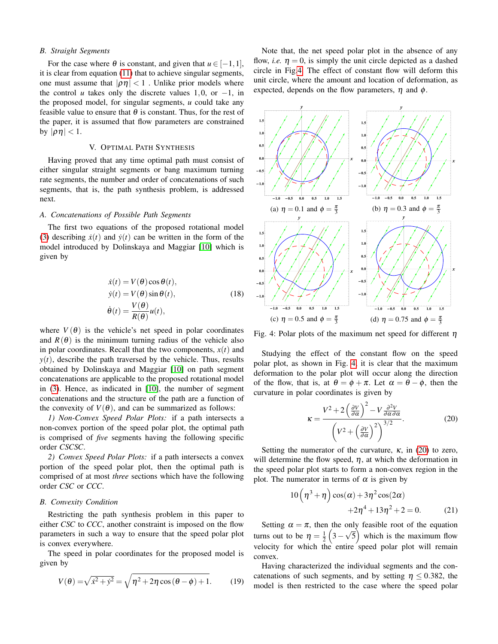#### *B. Straight Segments*

For the case where  $\theta$  is constant, and given that  $u \in [-1,1]$ , it is clear from equation [\(11\)](#page-3-4) that to achieve singular segments, one must assume that  $|\rho\eta| < 1$ . Unlike prior models where the control *u* takes only the discrete values 1,0, or  $-1$ , in the proposed model, for singular segments, *u* could take any feasible value to ensure that  $\theta$  is constant. Thus, for the rest of the paper, it is assumed that flow parameters are constrained by  $|\rho\eta|$  < 1.

# V. OPTIMAL PATH SYNTHESIS

<span id="page-4-0"></span>Having proved that any time optimal path must consist of either singular straight segments or bang maximum turning rate segments, the number and order of concatenations of such segments, that is, the path synthesis problem, is addressed next.

# *A. Concatenations of Possible Path Segments*

The first two equations of the proposed rotational model [\(3\)](#page-1-3) describing  $\dot{x}(t)$  and  $\dot{y}(t)$  can be written in the form of the model introduced by Dolinskaya and Maggiar [\[10\]](#page-8-19) which is given by

$$
\dot{x}(t) = V(\theta)\cos\theta(t),
$$
  
\n
$$
\dot{y}(t) = V(\theta)\sin\theta(t),
$$
  
\n
$$
\dot{\theta}(t) = \frac{V(\theta)}{R(\theta)}u(t),
$$
\n(18)

where  $V(\theta)$  is the vehicle's net speed in polar coordinates and  $R(\theta)$  is the minimum turning radius of the vehicle also in polar coordinates. Recall that the two components,  $x(t)$  and  $y(t)$ , describe the path traversed by the vehicle. Thus, results obtained by Dolinskaya and Maggiar [\[10\]](#page-8-19) on path segment concatenations are applicable to the proposed rotational model in [\(3\)](#page-1-3). Hence, as indicated in [\[10\]](#page-8-19), the number of segment concatenations and the structure of the path are a function of the convexity of  $V(\theta)$ , and can be summarized as follows:

*1) Non-Convex Speed Polar Plots:* if a path intersects a non-convex portion of the speed polar plot, the optimal path is comprised of *five* segments having the following specific order *CSCSC*.

*2) Convex Speed Polar Plots:* if a path intersects a convex portion of the speed polar plot, then the optimal path is comprised of at most *three* sections which have the following order *CSC* or *CCC*.

#### *B. Convexity Condition*

Restricting the path synthesis problem in this paper to either *CSC* to *CCC*, another constraint is imposed on the flow parameters in such a way to ensure that the speed polar plot is convex everywhere.

The speed in polar coordinates for the proposed model is given by

$$
V(\theta) = \sqrt{\dot{x}^2 + \dot{y}^2} = \sqrt{\eta^2 + 2\eta \cos(\theta - \phi) + 1}.
$$
 (19)

Note that, the net speed polar plot in the absence of any flow, *i.e.*  $\eta = 0$ , is simply the unit circle depicted as a dashed circle in Fig[.4.](#page-4-1) The effect of constant flow will deform this unit circle, where the amount and location of deformation, as expected, depends on the flow parameters,  $\eta$  and  $\phi$ .

<span id="page-4-1"></span>

Fig. 4: Polar plots of the maximum net speed for different  $\eta$ 

Studying the effect of the constant flow on the speed polar plot, as shown in Fig. [4,](#page-4-1) it is clear that the maximum deformation to the polar plot will occur along the direction of the flow, that is, at  $\theta = \phi + \pi$ . Let  $\alpha = \theta - \phi$ , then the curvature in polar coordinates is given by

<span id="page-4-2"></span>
$$
\kappa = \frac{V^2 + 2\left(\frac{\partial V}{\partial \alpha}\right)^2 - V \frac{\partial^2 V}{\partial \alpha \partial \alpha}}{\left(V^2 + \left(\frac{\partial V}{\partial \alpha}\right)^2\right)^{3/2}}.
$$
 (20)

Setting the numerator of the curvature,  $\kappa$ , in [\(20\)](#page-4-2) to zero, will determine the flow speed,  $\eta$ , at which the deformation in the speed polar plot starts to form a non-convex region in the plot. The numerator in terms of  $\alpha$  is given by

$$
10\left(\eta^3 + \eta\right)\cos(\alpha) + 3\eta^2\cos(2\alpha) + 2\eta^4 + 13\eta^2 + 2 = 0.
$$
 (21)

Setting  $\alpha = \pi$ , then the only feasible root of the equation turns out to be  $\eta = \frac{1}{2} \left( 3 - \frac{1}{2} \right)$ √  $\overline{5}$ ) which is the maximum flow velocity for which the entire speed polar plot will remain convex.

Having characterized the individual segments and the concatenations of such segments, and by setting  $\eta \le 0.382$ , the model is then restricted to the case where the speed polar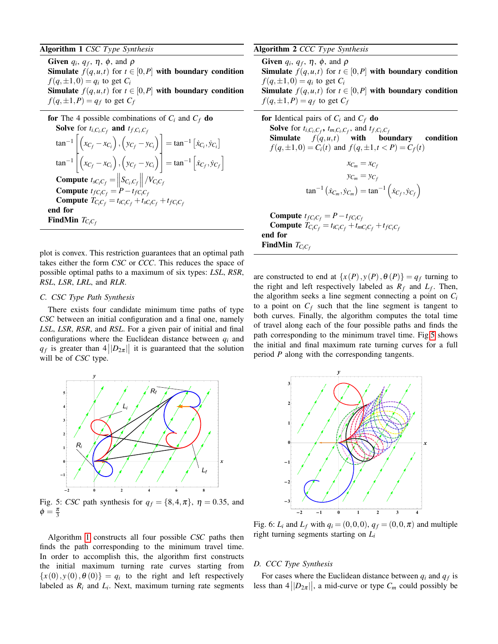# <span id="page-5-0"></span>Algorithm 1 *CSC Type Synthesis*

Given  $q_i$ ,  $q_f$ ,  $\eta$ ,  $\phi$ , and  $\rho$ **Simulate**  $f(q, u, t)$  for  $t \in [0, P]$  with boundary condition  $f(q, \pm 1, 0) = q_i$  to get  $C_i$ **Simulate**  $f(q, u, t)$  for  $t \in [0, P]$  with boundary condition  $f(q, \pm 1, P) = q_f$  to get  $C_f$ 

**for** The 4 possible combinations of 
$$
C_i
$$
 and  $C_f$  **do**  
\n**Solve** for  $t_{i,C_i,C_f}$  **and**  $t_{f,C_i,C_f}$   
\n
$$
\tan^{-1} \left[ \left( x_{C_f} - x_{C_i} \right), \left( y_{C_f} - y_{C_i} \right) \right] = \tan^{-1} \left[ \dot{x}_{C_i}, \dot{y}_{C_i} \right]
$$
\n
$$
\tan^{-1} \left[ \left( x_{C_f} - x_{C_i} \right), \left( y_{C_f} - y_{C_i} \right) \right] = \tan^{-1} \left[ \dot{x}_{C_f}, \dot{y}_{C_f} \right]
$$
\n**Compute**  $t_{S C_i C_f} = \left\| S_{C_i, C_f} \right\| / V_{C_i C_f}$   
\n**Compute**  $t_{f C_i C_f} = P - t_{f C_i C_f}$   
\n**Compute**  $T_{C_i C_f} = t_{i C_i C_f} + t_{s C_i C_f} + t_{f C_i C_f}$   
\n**end for**  
\n**FindMin**  $T_{C_i C_f}$ 

plot is convex. This restriction guarantees that an optimal path takes either the form *CSC* or *CCC*. This reduces the space of possible optimal paths to a maximum of six types: *LSL*, *RSR*, *RSL*, *LSR*, *LRL*, and *RLR*.

#### *C. CSC Type Path Synthesis*

There exists four candidate minimum time paths of type *CSC* between an initial configuration and a final one, namely *LSL*, *LSR*, *RSR*, and *RSL*. For a given pair of initial and final configurations where the Euclidean distance between *q<sup>i</sup>* and  $q_f$  is greater than  $4||D_{2\pi}||$  it is guaranteed that the solution will be of *CSC* type.

<span id="page-5-1"></span>

Fig. 5: *CSC* path synthesis for  $q_f = \{8, 4, \pi\}$ ,  $\eta = 0.35$ , and  $\phi = \frac{\pi}{3}$ 

Algorithm [1](#page-5-0) constructs all four possible *CSC* paths then finds the path corresponding to the minimum travel time. In order to accomplish this, the algorithm first constructs the initial maximum turning rate curves starting from  ${x(0), y(0), \theta(0)} = q_i$  to the right and left respectively labeled as  $R_i$  and  $L_i$ . Next, maximum turning rate segments

## <span id="page-5-3"></span>Algorithm 2 *CCC Type Synthesis*

Given  $q_i$ ,  $q_f$ ,  $\eta$ ,  $\phi$ , and  $\rho$ **Simulate**  $f(q, u, t)$  for  $t \in [0, P]$  with boundary condition  $f(q, \pm 1, 0) = q_i$  to get  $C_i$ **Simulate**  $f(q, u, t)$  for  $t \in [0, P]$  with boundary condition  $f(q, \pm 1, P) = q_f$  to get  $C_f$ 

**for** Identical pairs of 
$$
C_i
$$
 and  $C_f$  **do**  
\n**Solve** for  $t_{i,C_i,C_f}$ ,  $t_{m,C_i,C_f}$ , and  $t_{f,C_i,C_f}$   
\n**Simulate**  $f(q, u, t)$  **with boundary condition**  
\n $f(q, \pm 1, 0) = C_i(t)$  and  $f(q, \pm 1, t < P) = C_f(t)$   
\n $x_{C_m} = x_{C_f}$   
\n $y_{C_m} = y_{C_f}$   
\n $\tan^{-1}(\dot{x}_{C_m}, \dot{y}_{C_m}) = \tan^{-1}(\dot{x}_{C_f}, \dot{y}_{C_f})$ 

 $\text{Compute } t_{fC_iC_f} = P - t_{fC_iC_f}$ Compute  $T_{C_i C_f} = t_{iC_i C_f} + t_{mC_i C_f} + t_{fC_i C_f}$ end for **FindMin**  $T_{C_iC_f}$ 

are constructed to end at  $\{x(P), y(P), \theta(P)\} = q_f$  turning to the right and left respectively labeled as  $R_f$  and  $L_f$ . Then, the algorithm seeks a line segment connecting a point on *C<sup>i</sup>* to a point on  $C_f$  such that the line segment is tangent to both curves. Finally, the algorithm computes the total time of travel along each of the four possible paths and finds the path corresponding to the minimum travel time. Fig[.5](#page-5-1) shows the initial and final maximum rate turning curves for a full period *P* along with the corresponding tangents.

<span id="page-5-2"></span>

Fig. 6:  $L_i$  and  $L_f$  with  $q_i = (0,0,0), q_f = (0,0,\pi)$  and multiple right turning segments starting on *L<sup>i</sup>*

## *D. CCC Type Synthesis*

For cases where the Euclidean distance between *q<sup>i</sup>* and *q<sup>f</sup>* is less than  $4||D_{2\pi}||$ , a mid-curve or type  $C_m$  could possibly be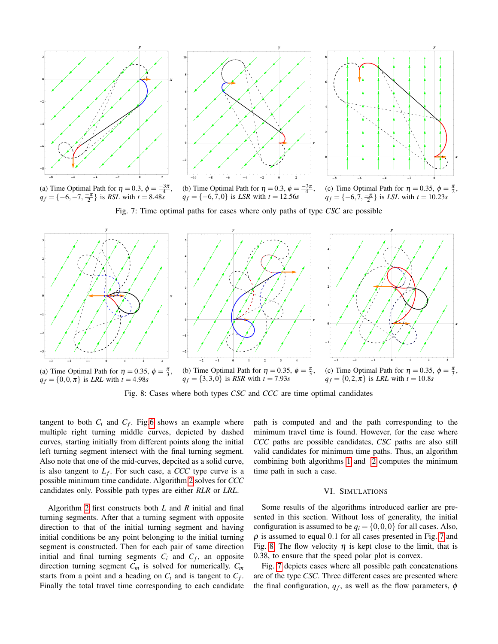<span id="page-6-1"></span>



**-8 -6 -4 -2 0 0 4 6 8** x y π 2 ,

(a) Time Optimal Path for  $\eta = 0.3$ ,  $\phi = \frac{-3\pi}{4}$ ,  $q_f = \{-6, -7, \frac{-\pi}{2}\}$  is *RSL* with  $t = 8.48s$ 

*q<sup>f</sup>* = {−6,7,0} is *LSR* with *t* = 12.56*s* (c) Time Optimal Path for  $\eta = 0.35$ ,  $\phi =$  $q_f = \{-6, 7, \frac{-\pi}{2}\}\$ is *LSL* with  $t = 10.23s$ 

x

Fig. 7: Time optimal paths for cases where only paths of type *CSC* are possible

<span id="page-6-2"></span>

Fig. 8: Cases where both types *CSC* and *CCC* are time optimal candidates

tangent to both  $C_i$  and  $C_f$ . Fig[.6](#page-5-2) shows an example where multiple right turning middle curves, depicted by dashed curves, starting initially from different points along the initial left turning segment intersect with the final turning segment. Also note that one of the mid-curves, depcited as a solid curve, is also tangent to *L<sup>f</sup>* . For such case, a *CCC* type curve is a possible minimum time candidate. Algorithm [2](#page-5-3) solves for *CCC* candidates only. Possible path types are either *RLR* or *LRL*.

Algorithm [2](#page-5-3) first constructs both *L* and *R* initial and final turning segments. After that a turning segment with opposite direction to that of the initial turning segment and having initial conditions be any point belonging to the initial turning segment is constructed. Then for each pair of same direction initial and final turning segments  $C_i$  and  $C_f$ , an opposite direction turning segment *C<sup>m</sup>* is solved for numerically. *C<sup>m</sup>* starts from a point and a heading on  $C_i$  and is tangent to  $C_f$ . Finally the total travel time corresponding to each candidate path is computed and and the path corresponding to the minimum travel time is found. However, for the case where *CCC* paths are possible candidates, *CSC* paths are also still valid candidates for minimum time paths. Thus, an algorithm combining both algorithms [1](#page-5-0) and [2](#page-5-3) computes the minimum time path in such a case.

## VI. SIMULATIONS

<span id="page-6-0"></span>Some results of the algorithms introduced earlier are presented in this section. Without loss of generality, the initial configuration is assumed to be  $q_i = \{0,0,0\}$  for all cases. Also,  $\rho$  is assumed to equal 0.1 for all cases presented in Fig. [7](#page-6-1) and Fig. [8.](#page-6-2) The flow velocity  $\eta$  is kept close to the limit, that is 0.38, to ensure that the speed polar plot is convex.

Fig. [7](#page-6-1) depicts cases where all possible path concatenations are of the type *CSC*. Three different cases are presented where the final configuration,  $q_f$ , as well as the flow parameters,  $\phi$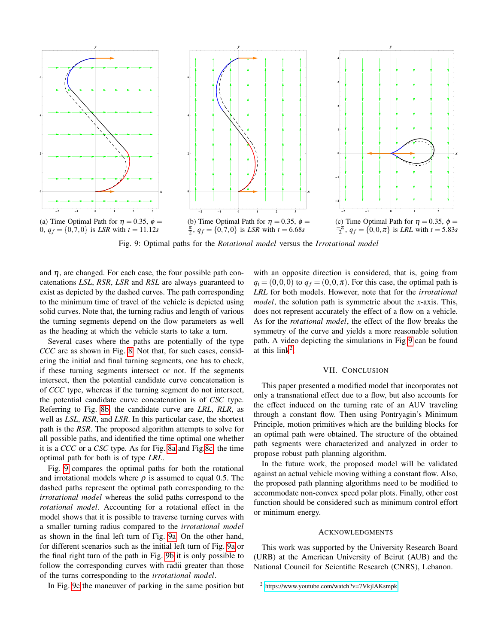<span id="page-7-0"></span>

Fig. 9: Optimal paths for the *Rotational model* versus the *Irrotational model*

and  $\eta$ , are changed. For each case, the four possible path concatenations *LSL*, *RSR*, *LSR* and *RSL* are always guaranteed to exist as depicted by the dashed curves. The path corresponding to the minimum time of travel of the vehicle is depicted using solid curves. Note that, the turning radius and length of various the turning segments depend on the flow parameters as well as the heading at which the vehicle starts to take a turn.

Several cases where the paths are potentially of the type *CCC* are as shown in Fig. [8.](#page-6-2) Not that, for such cases, considering the initial and final turning segments, one has to check, if these turning segments intersect or not. If the segments intersect, then the potential candidate curve concatenation is of *CCC* type, whereas if the turning segment do not intersect, the potential candidate curve concatenation is of *CSC* type. Referring to Fig. [8b,](#page-6-2) the candidate curve are *LRL*, *RLR*, as well as *LSL*, *RSR*, and *LSR*. In this particular case, the shortest path is the *RSR*. The proposed algorithm attempts to solve for all possible paths, and identified the time optimal one whether it is a *CCC* or a *CSC* type. As for Fig. [8a](#page-6-2) and Fig[.8c,](#page-6-2) the time optimal path for both is of type *LRL*.

Fig. [9](#page-7-0) compares the optimal paths for both the rotational and irrotational models where  $\rho$  is assumed to equal 0.5. The dashed paths represent the optimal path corresponding to the *irrotational model* whereas the solid paths correspond to the *rotational model*. Accounting for a rotational effect in the model shows that it is possible to traverse turning curves with a smaller turning radius compared to the *irrotational model* as shown in the final left turn of Fig. [9a.](#page-7-0) On the other hand, for different scenarios such as the initial left turn of Fig. [9a](#page-7-0) or the final right turn of the path in Fig. [9b](#page-7-0) it is only possible to follow the corresponding curves with radii greater than those of the turns corresponding to the *irrotational model*.

In Fig. [9c](#page-7-0) the maneuver of parking in the same position but

with an opposite direction is considered, that is, going from  $q_i = (0,0,0)$  to  $q_f = (0,0,\pi)$ . For this case, the optimal path is *LRL* for both models. However, note that for the *irrotational model*, the solution path is symmetric about the *x*-axis. This, does not represent accurately the effect of a flow on a vehicle. As for the *rotational model*, the effect of the flow breaks the symmetry of the curve and yields a more reasonable solution path. A video depicting the simulations in Fig [9](#page-7-0) can be found at this  $link<sup>2</sup>$  $link<sup>2</sup>$  $link<sup>2</sup>$ .

### VII. CONCLUSION

This paper presented a modified model that incorporates not only a transnational effect due to a flow, but also accounts for the effect induced on the turning rate of an AUV traveling through a constant flow. Then using Pontryagin's Minimum Principle, motion primitives which are the building blocks for an optimal path were obtained. The structure of the obtained path segments were characterized and analyzed in order to propose robust path planning algorithm.

In the future work, the proposed model will be validated against an actual vehicle moving withing a constant flow. Also, the proposed path planning algorithms need to be modified to accommodate non-convex speed polar plots. Finally, other cost function should be considered such as minimum control effort or minimum energy.

# ACKNOWLEDGMENTS

This work was supported by the University Research Board (URB) at the American University of Beirut (AUB) and the National Council for Scientific Research (CNRS), Lebanon.

<span id="page-7-1"></span><sup>2</sup> <https://www.youtube.com/watch?v=7VkjlAKsmpk>